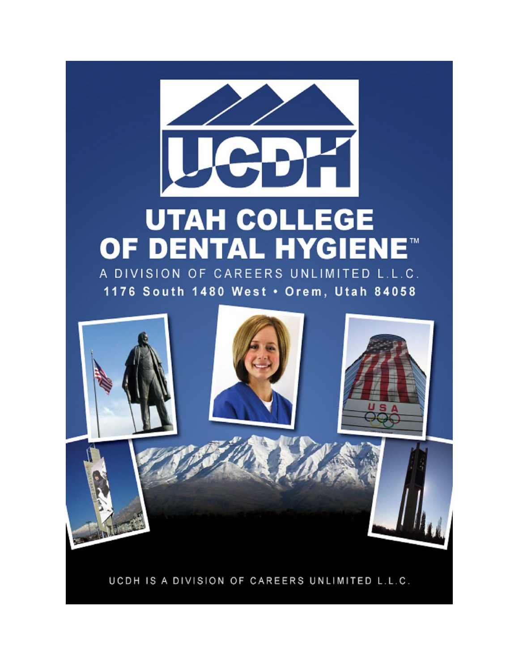# **UTAH COLLEGE OF DENTAL HYGIENE<sup>®</sup>** A DIVISION OF CAREERS UNLIMITED L.L.C.

1176 South 1480 West . Orem, Utah 84058

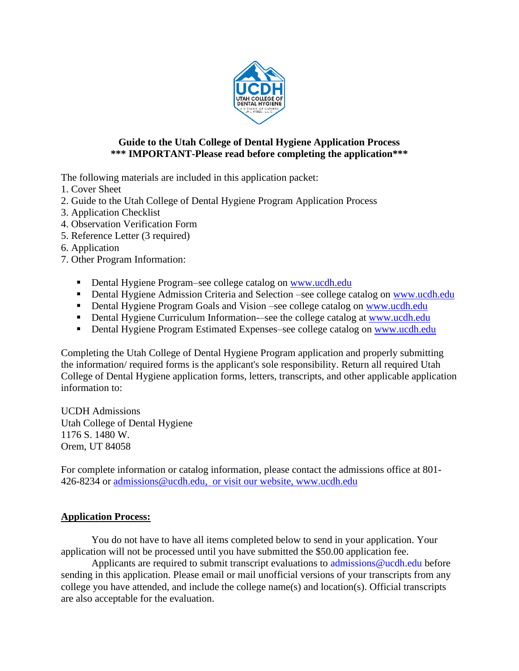

## **Guide to the Utah College of Dental Hygiene Application Process \*\*\* IMPORTANT-Please read before completing the application\*\*\***

The following materials are included in this application packet:

- 1. Cover Sheet
- 2. Guide to the Utah College of Dental Hygiene Program Application Process
- 3. Application Checklist
- 4. Observation Verification Form
- 5. Reference Letter (3 required)
- 6. Application
- 7. Other Program Information:
	- Dental Hygiene Program–see college catalog on [www.ucdh.edu](http://www.ucdh.edu/)
	- Dental Hygiene Admission Criteria and Selection –see college catalog on [www.ucdh.edu](http://www.ucdh.edu/)
	- Dental Hygiene Program Goals and Vision –see college catalog on [www.ucdh.edu](http://www.ucdh.edu/)
	- Dental Hygiene Curriculum Information—see the college catalog at [www.ucdh.edu](http://www.ucdh.edu/)
	- **Dental Hygiene Program Estimated Expenses–see college catalog on [www.ucdh.edu](http://www.ucdh.edu/)**

Completing the Utah College of Dental Hygiene Program application and properly submitting the information/ required forms is the applicant's sole responsibility. Return all required Utah College of Dental Hygiene application forms, letters, transcripts, and other applicable application information to:

UCDH Admissions Utah College of Dental Hygiene 1176 S. 1480 W. Orem, UT 84058

For complete information or catalog information, please contact the admissions office at 801- 426-8234 or [admissions@ucdh.edu,](mailto:admissions@ucdh.edu) or visit our website, [www.ucdh.edu](http://www.ucdh.edu/)

## **Application Process:**

You do not have to have all items completed below to send in your application. Your application will not be processed until you have submitted the \$50.00 application fee.

Applicants are required to submit transcript evaluations to [admissions@ucdh.edu](mailto:admissions@ucdh.edu) before sending in this application. Please email or mail unofficial versions of your transcripts from any college you have attended, and include the college name(s) and location(s). Official transcripts are also acceptable for the evaluation.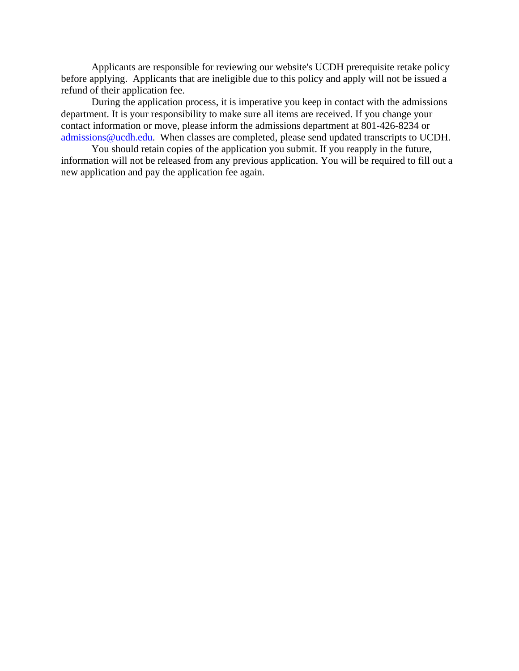Applicants are responsible for reviewing our website's UCDH prerequisite retake policy before applying. Applicants that are ineligible due to this policy and apply will not be issued a refund of their application fee.

During the application process, it is imperative you keep in contact with the admissions department. It is your responsibility to make sure all items are received. If you change your contact information or move, please inform the admissions department at 801-426-8234 or [admissions@ucdh.edu.](mailto:admissions@ucdh.edu) When classes are completed, please send updated transcripts to UCDH.

You should retain copies of the application you submit. If you reapply in the future, information will not be released from any previous application. You will be required to fill out a new application and pay the application fee again.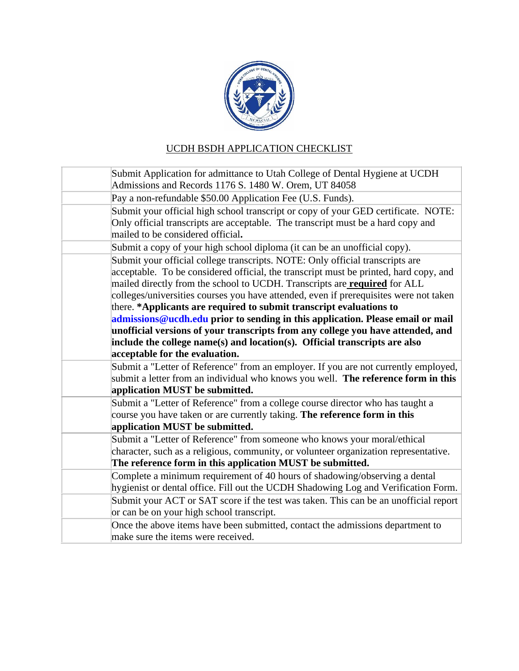

# UCDH BSDH APPLICATION CHECKLIST

| Submit Application for admittance to Utah College of Dental Hygiene at UCDH           |
|---------------------------------------------------------------------------------------|
| Admissions and Records 1176 S. 1480 W. Orem, UT 84058                                 |
| Pay a non-refundable \$50.00 Application Fee (U.S. Funds).                            |
| Submit your official high school transcript or copy of your GED certificate. NOTE:    |
| Only official transcripts are acceptable. The transcript must be a hard copy and      |
| mailed to be considered official.                                                     |
| Submit a copy of your high school diploma (it can be an unofficial copy).             |
| Submit your official college transcripts. NOTE: Only official transcripts are         |
| acceptable. To be considered official, the transcript must be printed, hard copy, and |
| mailed directly from the school to UCDH. Transcripts are <b>required</b> for ALL      |
| colleges/universities courses you have attended, even if prerequisites were not taken |
| there. *Applicants are required to submit transcript evaluations to                   |
| admissions@ucdh.edu prior to sending in this application. Please email or mail        |
| unofficial versions of your transcripts from any college you have attended, and       |
| include the college name(s) and location(s). Official transcripts are also            |
| acceptable for the evaluation.                                                        |
| Submit a "Letter of Reference" from an employer. If you are not currently employed,   |
| submit a letter from an individual who knows you well. The reference form in this     |
| application MUST be submitted.                                                        |
| Submit a "Letter of Reference" from a college course director who has taught a        |
| course you have taken or are currently taking. The reference form in this             |
| application MUST be submitted.                                                        |
| Submit a "Letter of Reference" from someone who knows your moral/ethical              |
| character, such as a religious, community, or volunteer organization representative.  |
| The reference form in this application MUST be submitted.                             |
| Complete a minimum requirement of 40 hours of shadowing/observing a dental            |
| hygienist or dental office. Fill out the UCDH Shadowing Log and Verification Form.    |
| Submit your ACT or SAT score if the test was taken. This can be an unofficial report  |
| or can be on your high school transcript.                                             |
| Once the above items have been submitted, contact the admissions department to        |
| make sure the items were received.                                                    |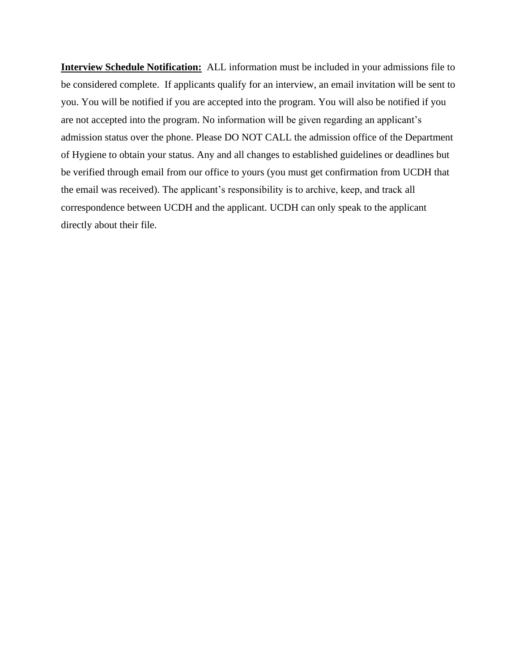**Interview Schedule Notification:** ALL information must be included in your admissions file to be considered complete. If applicants qualify for an interview, an email invitation will be sent to you. You will be notified if you are accepted into the program. You will also be notified if you are not accepted into the program. No information will be given regarding an applicant's admission status over the phone. Please DO NOT CALL the admission office of the Department of Hygiene to obtain your status. Any and all changes to established guidelines or deadlines but be verified through email from our office to yours (you must get confirmation from UCDH that the email was received). The applicant's responsibility is to archive, keep, and track all correspondence between UCDH and the applicant. UCDH can only speak to the applicant directly about their file.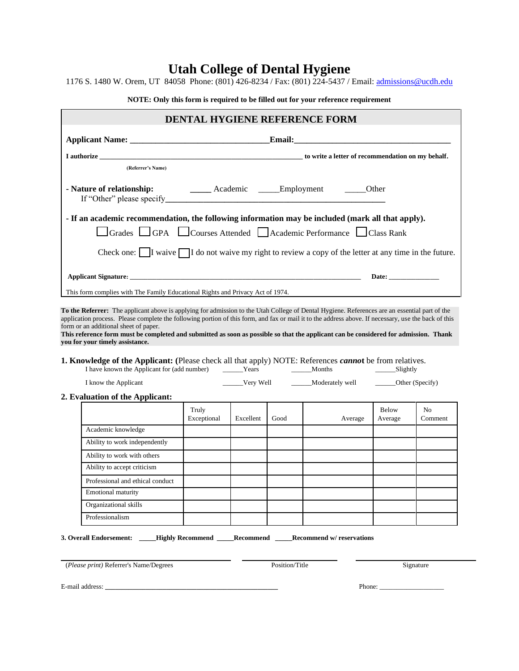# **Utah College of Dental Hygiene**

1176 S. 1480 W. Orem, UT 84058 Phone: (801) 426-8234 / Fax: (801) 224-5437 / Email: [admissions@ucdh.edu](mailto:admissions@ucdh.edu)

**NOTE: Only this form is required to be filled out for your reference requirement**

|                                                                                                                                                                                                                                                                                                                                                |                      |           |      | DENTAL HYGIENE REFERENCE FORM                                    |                  |         |
|------------------------------------------------------------------------------------------------------------------------------------------------------------------------------------------------------------------------------------------------------------------------------------------------------------------------------------------------|----------------------|-----------|------|------------------------------------------------------------------|------------------|---------|
|                                                                                                                                                                                                                                                                                                                                                |                      |           |      |                                                                  |                  |         |
| I authorize <b>the contract of the contract of the contract of the contract of the contract of the contract of recommendation on my behalf.</b>                                                                                                                                                                                                |                      |           |      |                                                                  |                  |         |
| (Referrer's Name)                                                                                                                                                                                                                                                                                                                              |                      |           |      |                                                                  |                  |         |
| - Nature of relationship: _________ Academic ______Employment ______Other                                                                                                                                                                                                                                                                      |                      |           |      |                                                                  |                  |         |
| - If an academic recommendation, the following information may be included (mark all that apply).                                                                                                                                                                                                                                              |                      |           |      |                                                                  |                  |         |
| Grades GPA Courses Attended Academic Performance Class Rank                                                                                                                                                                                                                                                                                    |                      |           |      |                                                                  |                  |         |
|                                                                                                                                                                                                                                                                                                                                                |                      |           |      |                                                                  |                  |         |
| Check one: $\Box$ I waive $\Box$ I do not waive my right to review a copy of the letter at any time in the future.                                                                                                                                                                                                                             |                      |           |      |                                                                  |                  |         |
|                                                                                                                                                                                                                                                                                                                                                |                      |           |      |                                                                  |                  |         |
| Applicant Signature: Date: Date:                                                                                                                                                                                                                                                                                                               |                      |           |      |                                                                  |                  |         |
|                                                                                                                                                                                                                                                                                                                                                |                      |           |      |                                                                  |                  |         |
| To the Referrer: The applicant above is applying for admission to the Utah College of Dental Hygiene. References are an essential part of the<br>application process. Please complete the following portion of this form, and fax or mail it to the address above. If necessary, use the back of this<br>form or an additional sheet of paper. |                      |           |      |                                                                  |                  |         |
| This reference form must be completed and submitted as soon as possible so that the applicant can be considered for admission. Thank<br>you for your timely assistance.<br><b>1. Knowledge of the Applicant:</b> (Please check all that apply) NOTE: References <i>cannot</i> be from relatives.                                               |                      |           |      |                                                                  |                  |         |
|                                                                                                                                                                                                                                                                                                                                                |                      |           |      |                                                                  |                  |         |
| I know the Applicant                                                                                                                                                                                                                                                                                                                           |                      |           |      | ______Very Well _________Moderately well ________Other (Specify) |                  |         |
| 2. Evaluation of the Applicant:                                                                                                                                                                                                                                                                                                                |                      |           |      |                                                                  |                  |         |
|                                                                                                                                                                                                                                                                                                                                                | Truly<br>Exceptional | Excellent | Good | Average                                                          | Below<br>Average | No.     |
| Academic knowledge                                                                                                                                                                                                                                                                                                                             |                      |           |      |                                                                  |                  |         |
| Ability to work independently                                                                                                                                                                                                                                                                                                                  |                      |           |      |                                                                  |                  |         |
| Ability to work with others                                                                                                                                                                                                                                                                                                                    |                      |           |      |                                                                  |                  |         |
| Ability to accept criticism                                                                                                                                                                                                                                                                                                                    |                      |           |      |                                                                  |                  |         |
| Professional and ethical conduct                                                                                                                                                                                                                                                                                                               |                      |           |      |                                                                  |                  |         |
| Emotional maturity                                                                                                                                                                                                                                                                                                                             |                      |           |      |                                                                  |                  | Comment |
| Organizational skills                                                                                                                                                                                                                                                                                                                          |                      |           |      |                                                                  |                  |         |

(*Please print*) Referrer's Name/Degrees Position/Title Position/Title Signature

E-mail address: **\_\_\_\_\_\_\_\_\_\_\_\_\_\_\_\_\_\_\_\_\_\_\_\_\_\_\_\_\_\_\_\_\_\_\_\_\_\_\_\_\_\_\_\_\_\_\_\_\_\_\_** Phone: \_\_\_\_\_\_\_\_\_\_\_\_\_\_\_\_\_\_\_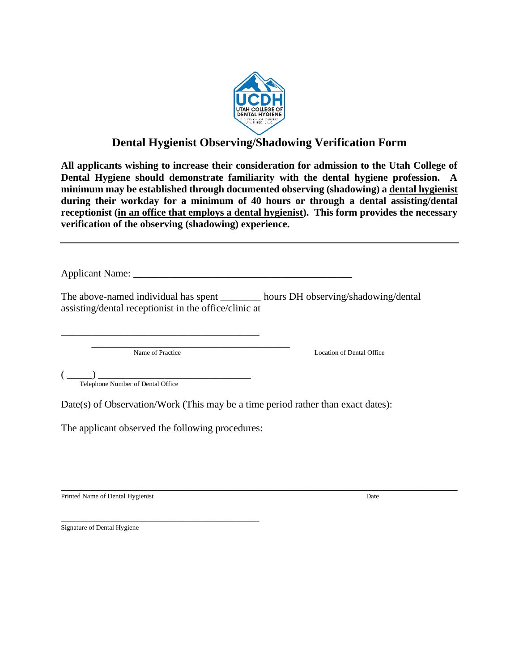

# **Dental Hygienist Observing/Shadowing Verification Form**

**All applicants wishing to increase their consideration for admission to the Utah College of Dental Hygiene should demonstrate familiarity with the dental hygiene profession. A minimum may be established through documented observing (shadowing) a dental hygienist during their workday for a minimum of 40 hours or through a dental assisting/dental receptionist (in an office that employs a dental hygienist). This form provides the necessary verification of the observing (shadowing) experience.** 

Applicant Name: \_\_\_\_\_\_\_\_\_\_\_\_\_\_\_\_\_\_\_\_\_\_\_\_\_\_\_\_\_\_\_\_\_\_\_\_\_\_\_\_\_\_\_

The above-named individual has spent \_\_\_\_\_\_\_\_ hours DH observing/shadowing/dental assisting/dental receptionist in the office/clinic at

\_\_\_\_\_\_\_\_\_\_\_\_\_\_\_\_\_\_\_\_\_\_\_\_\_\_\_\_\_\_\_\_\_\_\_\_\_\_\_

\_\_\_\_\_\_\_\_\_\_\_\_\_\_\_\_\_\_\_\_\_\_\_\_\_\_\_\_\_\_\_\_\_\_\_\_\_\_\_

Name of Practice Location of Dental Office

 $\left(\begin{array}{c} \begin{array}{c} \begin{array}{c} \begin{array}{c} \end{array}\\ \end{array}\right) \end{array}$ 

Telephone Number of Dental Office

Date(s) of Observation/Work (This may be a time period rather than exact dates):

The applicant observed the following procedures:

\_\_\_\_\_\_\_\_\_\_\_\_\_\_\_\_\_\_\_\_\_\_\_\_\_\_\_\_\_\_\_\_\_\_\_\_\_\_\_\_\_\_\_\_\_\_\_\_\_\_\_\_\_\_\_\_\_\_\_\_\_\_\_\_\_\_\_\_\_\_\_\_\_\_\_\_\_\_ Printed Name of Dental Hygienist Date

\_\_\_\_\_\_\_\_\_\_\_\_\_\_\_\_\_\_\_\_\_\_\_\_\_\_\_\_\_\_\_\_\_\_\_\_\_\_\_ Signature of Dental Hygiene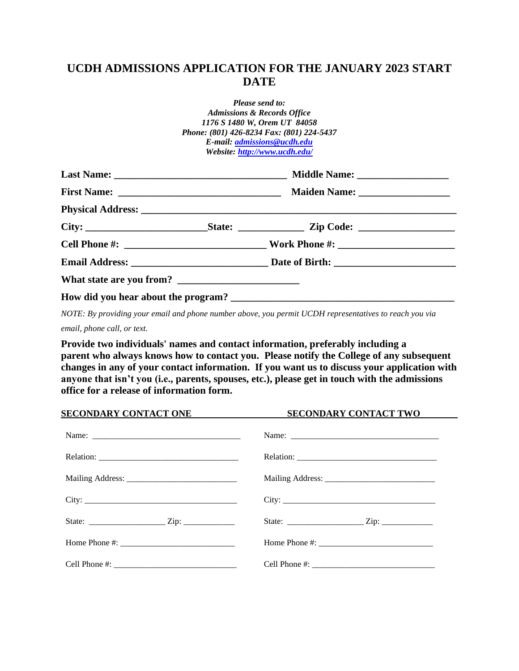# **UCDH ADMISSIONS APPLICATION FOR THE JANUARY 2023 START DATE**

| Please send to:                        |                                           |  |  |
|----------------------------------------|-------------------------------------------|--|--|
| <b>Admissions &amp; Records Office</b> |                                           |  |  |
| 1176 S 1480 W, Orem UT 84058           |                                           |  |  |
|                                        | Phone: (801) 426-8234 Fax: (801) 224-5437 |  |  |
| E-mail: admissions@ucdh.edu            |                                           |  |  |
| Website: http://www.ucdh.edu/          |                                           |  |  |
|                                        |                                           |  |  |
|                                        |                                           |  |  |
|                                        |                                           |  |  |
|                                        |                                           |  |  |
|                                        |                                           |  |  |
|                                        |                                           |  |  |
|                                        |                                           |  |  |
|                                        |                                           |  |  |

*NOTE: By providing your email and phone number above, you permit UCDH representatives to reach you via email, phone call, or text.*

**Provide two individuals' names and contact information, preferably including a parent who always knows how to contact you. Please notify the College of any subsequent changes in any of your contact information. If you want us to discuss your application with anyone that isn't you (i.e., parents, spouses, etc.), please get in touch with the admissions office for a release of information form.** 

| <b>SECONDARY CONTACT ONE</b> | <b>SECONDARY CONTACT TWO</b> |  |  |
|------------------------------|------------------------------|--|--|
|                              |                              |  |  |
|                              |                              |  |  |
|                              |                              |  |  |
|                              | City:                        |  |  |
|                              |                              |  |  |
|                              |                              |  |  |
|                              |                              |  |  |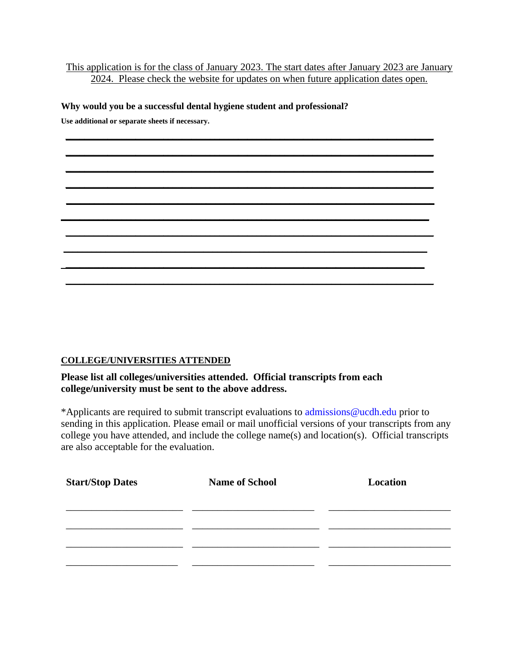## This application is for the class of January 2023. The start dates after January 2023 are January 2024. Please check the website for updates on when future application dates open.

**\_\_\_\_\_\_\_\_\_\_\_\_\_\_\_\_\_\_\_\_\_\_\_\_\_\_\_\_\_\_\_\_\_\_\_\_\_\_\_\_\_\_\_\_\_\_\_\_\_\_\_\_\_\_\_\_\_\_\_\_\_\_\_\_\_\_\_\_\_\_\_\_\_\_\_\_\_\_\_ \_\_\_\_\_\_\_\_\_\_\_\_\_\_\_\_\_\_\_\_\_\_\_\_\_\_\_\_\_\_\_\_\_\_\_\_\_\_\_\_\_\_\_\_\_\_\_\_\_\_\_\_\_\_\_\_\_\_\_\_\_\_\_\_\_\_\_\_\_\_\_\_\_\_\_\_\_\_\_ \_\_\_\_\_\_\_\_\_\_\_\_\_\_\_\_\_\_\_\_\_\_\_\_\_\_\_\_\_\_\_\_\_\_\_\_\_\_\_\_\_\_\_\_\_\_\_\_\_\_\_\_\_\_\_\_\_\_\_\_\_\_\_\_\_\_\_\_\_\_\_\_\_\_\_\_\_\_\_ \_\_\_\_\_\_\_\_\_\_\_\_\_\_\_\_\_\_\_\_\_\_\_\_\_\_\_\_\_\_\_\_\_\_\_\_\_\_\_\_\_\_\_\_\_\_\_\_\_\_\_\_\_\_\_\_\_\_\_\_\_\_\_\_\_\_\_\_\_\_\_\_\_\_\_\_\_\_\_ \_\_\_\_\_\_\_\_\_\_\_\_\_\_\_\_\_\_\_\_\_\_\_\_\_\_\_\_\_\_\_\_\_\_\_\_\_\_\_\_\_\_\_\_\_\_\_\_\_\_\_\_\_\_\_\_\_\_\_\_\_\_\_\_\_\_\_\_\_\_\_\_\_\_\_\_\_\_\_** 

**\_\_\_\_\_\_\_\_\_\_\_\_\_\_\_\_\_\_\_\_\_\_\_\_\_\_\_\_\_\_\_\_\_\_\_\_\_\_\_\_\_\_\_\_\_\_\_\_\_\_\_\_\_\_\_\_\_\_\_\_\_\_\_\_\_\_\_\_\_\_\_\_\_\_\_\_\_\_\_ \_\_\_\_\_\_\_\_\_\_\_\_\_\_\_\_\_\_\_\_\_\_\_\_\_\_\_\_\_\_\_\_\_\_\_\_\_\_\_\_\_\_\_\_\_\_\_\_\_\_\_\_\_\_\_\_\_\_\_\_\_\_\_\_\_\_\_\_\_\_\_\_\_\_\_\_\_\_\_ \_\_\_\_\_\_\_\_\_\_\_\_\_\_\_\_\_\_\_\_\_\_\_\_\_\_\_\_\_\_\_\_\_\_\_\_\_\_\_\_\_\_\_\_\_\_\_\_\_\_\_\_\_\_\_\_\_\_\_\_\_\_\_\_\_\_\_\_\_\_\_\_\_\_\_\_\_\_ \_\_\_\_\_\_\_\_\_\_\_\_\_\_\_\_\_\_\_\_\_\_\_\_\_\_\_\_\_\_\_\_\_\_\_\_\_\_\_\_\_\_\_\_\_\_\_\_\_\_\_\_\_\_\_\_\_\_\_\_\_\_\_\_\_\_\_\_\_\_\_\_\_\_\_\_\_**

**\_\_\_\_\_\_\_\_\_\_\_\_\_\_\_\_\_\_\_\_\_\_\_\_\_\_\_\_\_\_\_\_\_\_\_\_\_\_\_\_\_\_\_\_\_\_\_\_\_\_\_\_\_\_\_\_\_\_\_\_\_\_\_\_\_\_\_\_\_\_\_\_\_\_\_\_\_\_\_**

#### **Why would you be a successful dental hygiene student and professional?**

**Use additional or separate sheets if necessary.**

#### **COLLEGE/UNIVERSITIES ATTENDED**

## **Please list all colleges/universities attended. Official transcripts from each college/university must be sent to the above address.**

\*Applicants are required to submit transcript evaluations to [admissions@ucdh.edu](mailto:admissions@ucdh.edu) prior to sending in this application. Please email or mail unofficial versions of your transcripts from any college you have attended, and include the college name(s) and location(s). Official transcripts are also acceptable for the evaluation.

| <b>Start/Stop Dates</b> | <b>Name of School</b> | Location |
|-------------------------|-----------------------|----------|
|                         |                       |          |
|                         |                       |          |
|                         |                       |          |
|                         |                       |          |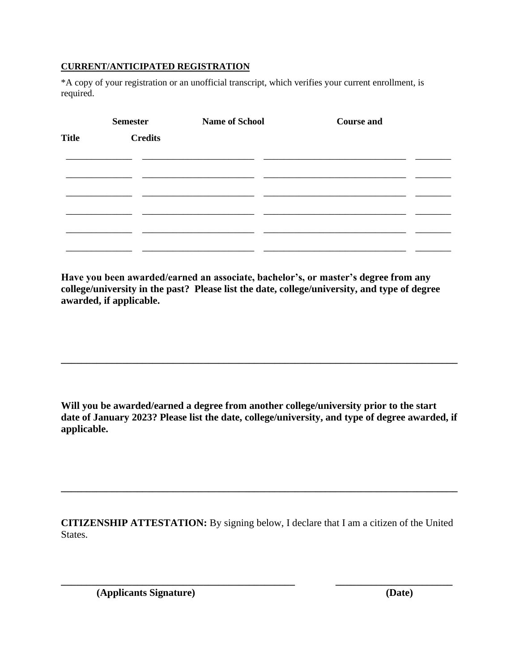## **CURRENT/ANTICIPATED REGISTRATION**

\*A copy of your registration or an unofficial transcript, which verifies your current enrollment, is required.

|              | <b>Semester</b> | <b>Name of School</b> | <b>Course and</b> |  |
|--------------|-----------------|-----------------------|-------------------|--|
| <b>Title</b> | <b>Credits</b>  |                       |                   |  |
|              |                 |                       |                   |  |
|              |                 |                       |                   |  |
|              |                 |                       |                   |  |
|              |                 |                       |                   |  |
|              |                 |                       |                   |  |
|              |                 |                       |                   |  |
|              |                 |                       |                   |  |

**Have you been awarded/earned an associate, bachelor's, or master's degree from any college/university in the past? Please list the date, college/university, and type of degree awarded, if applicable.**

**Will you be awarded/earned a degree from another college/university prior to the start date of January 2023? Please list the date, college/university, and type of degree awarded, if applicable.**

**\_\_\_\_\_\_\_\_\_\_\_\_\_\_\_\_\_\_\_\_\_\_\_\_\_\_\_\_\_\_\_\_\_\_\_\_\_\_\_\_\_\_\_\_\_\_\_\_\_\_\_\_\_\_\_\_\_\_\_\_\_\_\_\_\_\_\_\_\_\_\_\_\_\_\_\_\_\_**

**CITIZENSHIP ATTESTATION:** By signing below, I declare that I am a citizen of the United States.

**\_\_\_\_\_\_\_\_\_\_\_\_\_\_\_\_\_\_\_\_\_\_\_\_\_\_\_\_\_\_\_\_\_\_\_\_\_\_\_\_\_\_\_\_\_\_ \_\_\_\_\_\_\_\_\_\_\_\_\_\_\_\_\_\_\_\_\_\_\_**

**\_\_\_\_\_\_\_\_\_\_\_\_\_\_\_\_\_\_\_\_\_\_\_\_\_\_\_\_\_\_\_\_\_\_\_\_\_\_\_\_\_\_\_\_\_\_\_\_\_\_\_\_\_\_\_\_\_\_\_\_\_\_\_\_\_\_\_\_\_\_\_\_\_\_\_\_\_\_**

 **(Applicants Signature) (Date)**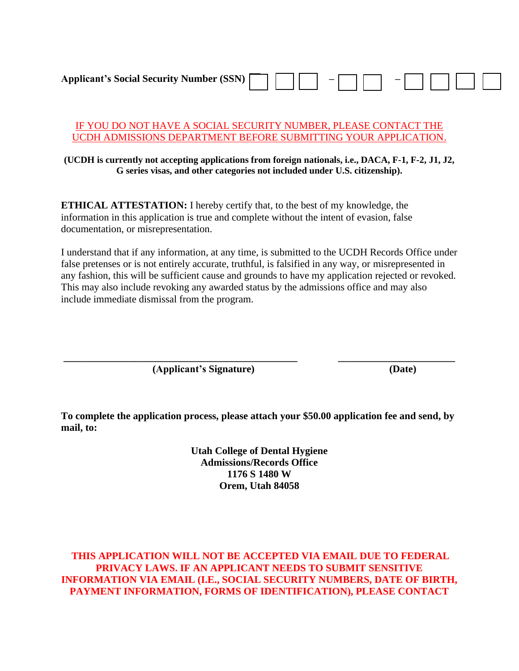**Applicant's Social Security Number (SSN) – –**

#### IF YOU DO NOT HAVE A SOCIAL SECURITY NUMBER, PLEASE CONTACT THE UCDH ADMISSIONS DEPARTMENT BEFORE SUBMITTING YOUR APPLICATION.

#### **(UCDH is currently not accepting applications from foreign nationals, i.e., DACA, F-1, F-2, J1, J2, G series visas, and other categories not included under U.S. citizenship).**

**ETHICAL ATTESTATION:** I hereby certify that, to the best of my knowledge, the information in this application is true and complete without the intent of evasion, false documentation, or misrepresentation.

I understand that if any information, at any time, is submitted to the UCDH Records Office under false pretenses or is not entirely accurate, truthful, is falsified in any way, or misrepresented in any fashion, this will be sufficient cause and grounds to have my application rejected or revoked. This may also include revoking any awarded status by the admissions office and may also include immediate dismissal from the program.

**(Applicant's Signature) (Date)**

**To complete the application process, please attach your \$50.00 application fee and send, by mail, to:**

**\_\_\_\_\_\_\_\_\_\_\_\_\_\_\_\_\_\_\_\_\_\_\_\_\_\_\_\_\_\_\_\_\_\_\_\_\_\_\_\_\_\_\_\_\_\_ \_\_\_\_\_\_\_\_\_\_\_\_\_\_\_\_\_\_\_\_\_\_\_**

**Utah College of Dental Hygiene Admissions/Records Office 1176 S 1480 W Orem, Utah 84058**

**THIS APPLICATION WILL NOT BE ACCEPTED VIA EMAIL DUE TO FEDERAL PRIVACY LAWS. IF AN APPLICANT NEEDS TO SUBMIT SENSITIVE INFORMATION VIA EMAIL (I.E., SOCIAL SECURITY NUMBERS, DATE OF BIRTH, PAYMENT INFORMATION, FORMS OF IDENTIFICATION), PLEASE CONTACT**